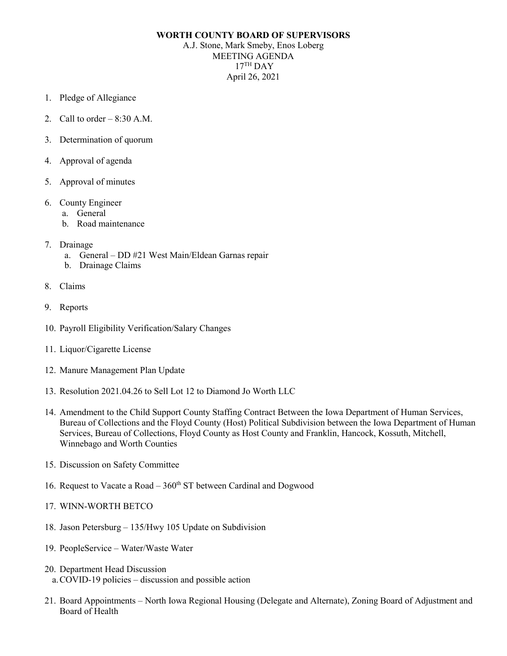## **WORTH COUNTY BOARD OF SUPERVISORS**

A.J. Stone, Mark Smeby, Enos Loberg MEETING AGENDA  $17<sup>TH</sup>$  DAY April 26, 2021

- 1. Pledge of Allegiance
- 2. Call to order  $-8:30$  A.M.
- 3. Determination of quorum
- 4. Approval of agenda
- 5. Approval of minutes
- 6. County Engineer
	- a. General
	- b. Road maintenance
- 7. Drainage
	- a. General DD #21 West Main/Eldean Garnas repair
	- b. Drainage Claims
- 8. Claims
- 9. Reports
- 10. Payroll Eligibility Verification/Salary Changes
- 11. Liquor/Cigarette License
- 12. Manure Management Plan Update
- 13. Resolution 2021.04.26 to Sell Lot 12 to Diamond Jo Worth LLC
- 14. Amendment to the Child Support County Staffing Contract Between the Iowa Department of Human Services, Bureau of Collections and the Floyd County (Host) Political Subdivision between the Iowa Department of Human Services, Bureau of Collections, Floyd County as Host County and Franklin, Hancock, Kossuth, Mitchell, Winnebago and Worth Counties
- 15. Discussion on Safety Committee
- 16. Request to Vacate a Road  $360<sup>th</sup>$  ST between Cardinal and Dogwood
- 17. WINN-WORTH BETCO
- 18. Jason Petersburg 135/Hwy 105 Update on Subdivision
- 19. PeopleService Water/Waste Water
- 20. Department Head Discussion a.COVID-19 policies – discussion and possible action
- 21. Board Appointments North Iowa Regional Housing (Delegate and Alternate), Zoning Board of Adjustment and Board of Health